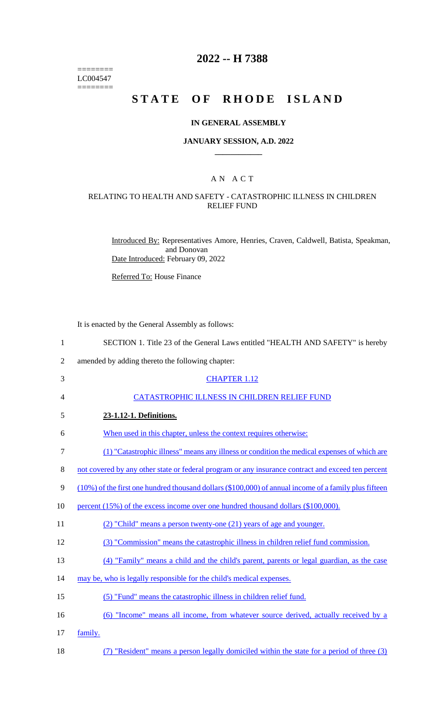======== LC004547  $=$ 

# **2022 -- H 7388**

# **STATE OF RHODE ISLAND**

#### **IN GENERAL ASSEMBLY**

#### **JANUARY SESSION, A.D. 2022 \_\_\_\_\_\_\_\_\_\_\_\_**

### A N A C T

# RELATING TO HEALTH AND SAFETY - CATASTROPHIC ILLNESS IN CHILDREN RELIEF FUND

Introduced By: Representatives Amore, Henries, Craven, Caldwell, Batista, Speakman, and Donovan Date Introduced: February 09, 2022

Referred To: House Finance

It is enacted by the General Assembly as follows:

| $\mathbf{1}$   | SECTION 1. Title 23 of the General Laws entitled "HEALTH AND SAFETY" is hereby                             |
|----------------|------------------------------------------------------------------------------------------------------------|
| $\overline{2}$ | amended by adding thereto the following chapter:                                                           |
| 3              | <b>CHAPTER 1.12</b>                                                                                        |
| 4              | CATASTROPHIC ILLNESS IN CHILDREN RELIEF FUND                                                               |
| 5              | 23-1.12-1. Definitions.                                                                                    |
| 6              | When used in this chapter, unless the context requires otherwise:                                          |
| $\tau$         | (1) "Catastrophic illness" means any illness or condition the medical expenses of which are                |
| 8              | not covered by any other state or federal program or any insurance contract and exceed ten percent         |
| 9              | $(10\%)$ of the first one hundred thousand dollars $(\$100,000)$ of annual income of a family plus fifteen |
| 10             | percent (15%) of the excess income over one hundred thousand dollars (\$100,000).                          |
| 11             | (2) "Child" means a person twenty-one (21) years of age and younger.                                       |
| 12             | (3) "Commission" means the catastrophic illness in children relief fund commission.                        |
| 13             | (4) "Family" means a child and the child's parent, parents or legal guardian, as the case                  |
| 14             | may be, who is legally responsible for the child's medical expenses.                                       |
| 15             | (5) "Fund" means the catastrophic illness in children relief fund.                                         |
| 16             | (6) "Income" means all income, from whatever source derived, actually received by a                        |
| 17             | family.                                                                                                    |
| 18             | (7) "Resident" means a person legally domiciled within the state for a period of three (3)                 |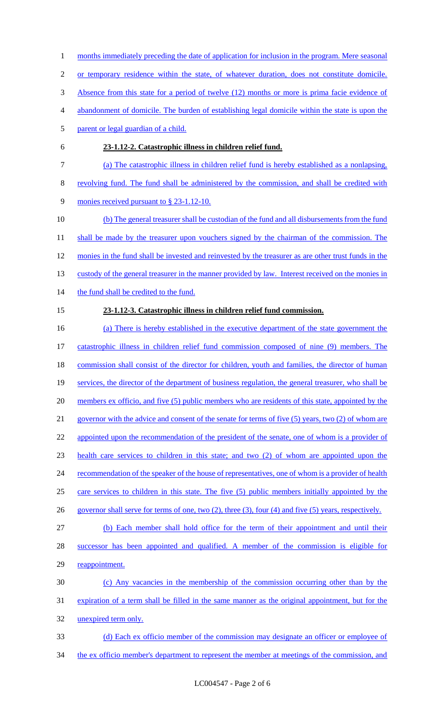**23-1.12-2. Catastrophic illness in children relief fund.**  (a) The catastrophic illness in children relief fund is hereby established as a nonlapsing, revolving fund. The fund shall be administered by the commission, and shall be credited with monies received pursuant to § 23-1.12-10. (b) The general treasurer shall be custodian of the fund and all disbursements from the fund 11 shall be made by the treasurer upon vouchers signed by the chairman of the commission. The monies in the fund shall be invested and reinvested by the treasurer as are other trust funds in the 13 custody of the general treasurer in the manner provided by law. Interest received on the monies in 14 the fund shall be credited to the fund. **23-1.12-3. Catastrophic illness in children relief fund commission.**  (a) There is hereby established in the executive department of the state government the catastrophic illness in children relief fund commission composed of nine (9) members. The 18 commission shall consist of the director for children, youth and families, the director of human services, the director of the department of business regulation, the general treasurer, who shall be 20 members ex officio, and five (5) public members who are residents of this state, appointed by the governor with the advice and consent of the senate for terms of five (5) years, two (2) of whom are 22 appointed upon the recommendation of the president of the senate, one of whom is a provider of health care services to children in this state; and two (2) of whom are appointed upon the 24 recommendation of the speaker of the house of representatives, one of whom is a provider of health care services to children in this state. The five (5) public members initially appointed by the governor shall serve for terms of one, two (2), three (3), four (4) and five (5) years, respectively. (b) Each member shall hold office for the term of their appointment and until their successor has been appointed and qualified. A member of the commission is eligible for 29 reappointment. (c) Any vacancies in the membership of the commission occurring other than by the expiration of a term shall be filled in the same manner as the original appointment, but for the unexpired term only. (d) Each ex officio member of the commission may designate an officer or employee of 34 the ex officio member's department to represent the member at meetings of the commission, and

- 1 months immediately preceding the date of application for inclusion in the program. Mere seasonal
- or temporary residence within the state, of whatever duration, does not constitute domicile.
- Absence from this state for a period of twelve (12) months or more is prima facie evidence of
- abandonment of domicile. The burden of establishing legal domicile within the state is upon the
- parent or legal guardian of a child.
- 

LC004547 - Page 2 of 6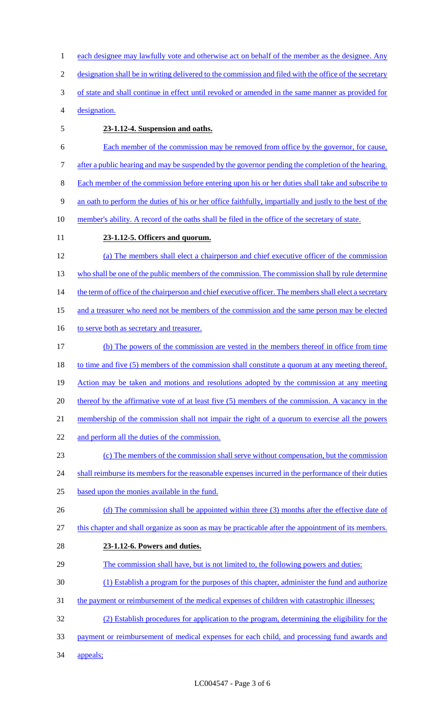1 each designee may lawfully vote and otherwise act on behalf of the member as the designee. Any 2 designation shall be in writing delivered to the commission and filed with the office of the secretary 3 of state and shall continue in effect until revoked or amended in the same manner as provided for 4 designation. 5 **23-1.12-4. Suspension and oaths.**  6 Each member of the commission may be removed from office by the governor, for cause, 7 after a public hearing and may be suspended by the governor pending the completion of the hearing. 8 Each member of the commission before entering upon his or her duties shall take and subscribe to 9 an oath to perform the duties of his or her office faithfully, impartially and justly to the best of the 10 member's ability. A record of the oaths shall be filed in the office of the secretary of state. 11 **23-1.12-5. Officers and quorum.**  12 (a) The members shall elect a chairperson and chief executive officer of the commission 13 who shall be one of the public members of the commission. The commission shall by rule determine 14 the term of office of the chairperson and chief executive officer. The members shall elect a secretary 15 and a treasurer who need not be members of the commission and the same person may be elected 16 to serve both as secretary and treasurer. 17 (b) The powers of the commission are vested in the members thereof in office from time 18 to time and five (5) members of the commission shall constitute a quorum at any meeting thereof. 19 Action may be taken and motions and resolutions adopted by the commission at any meeting 20 thereof by the affirmative vote of at least five (5) members of the commission. A vacancy in the 21 membership of the commission shall not impair the right of a quorum to exercise all the powers 22 and perform all the duties of the commission. 23 (c) The members of the commission shall serve without compensation, but the commission 24 shall reimburse its members for the reasonable expenses incurred in the performance of their duties 25 based upon the monies available in the fund. 26 (d) The commission shall be appointed within three (3) months after the effective date of 27 this chapter and shall organize as soon as may be practicable after the appointment of its members. 28 **23-1.12-6. Powers and duties.**  29 The commission shall have, but is not limited to, the following powers and duties: 30 (1) Establish a program for the purposes of this chapter, administer the fund and authorize 31 the payment or reimbursement of the medical expenses of children with catastrophic illnesses; 32 (2) Establish procedures for application to the program, determining the eligibility for the 33 payment or reimbursement of medical expenses for each child, and processing fund awards and 34 appeals;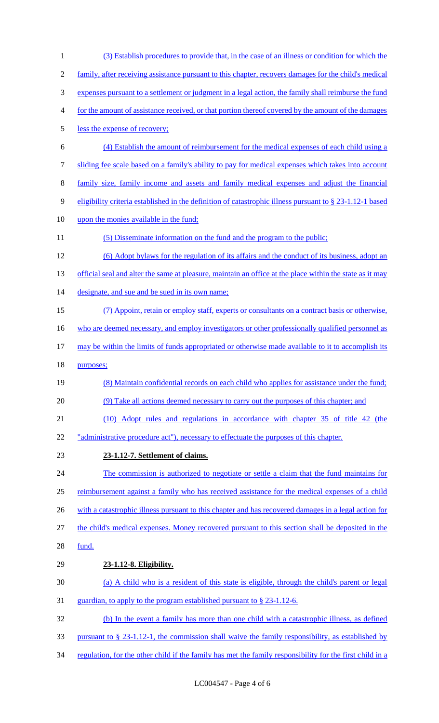(3) Establish procedures to provide that, in the case of an illness or condition for which the family, after receiving assistance pursuant to this chapter, recovers damages for the child's medical expenses pursuant to a settlement or judgment in a legal action, the family shall reimburse the fund for the amount of assistance received, or that portion thereof covered by the amount of the damages less the expense of recovery; (4) Establish the amount of reimbursement for the medical expenses of each child using a sliding fee scale based on a family's ability to pay for medical expenses which takes into account family size, family income and assets and family medical expenses and adjust the financial eligibility criteria established in the definition of catastrophic illness pursuant to § 23-1.12-1 based upon the monies available in the fund; 11 (5) Disseminate information on the fund and the program to the public; (6) Adopt bylaws for the regulation of its affairs and the conduct of its business, adopt an 13 official seal and alter the same at pleasure, maintain an office at the place within the state as it may 14 designate, and sue and be sued in its own name; (7) Appoint, retain or employ staff, experts or consultants on a contract basis or otherwise, 16 who are deemed necessary, and employ investigators or other professionally qualified personnel as may be within the limits of funds appropriated or otherwise made available to it to accomplish its purposes; (8) Maintain confidential records on each child who applies for assistance under the fund; (9) Take all actions deemed necessary to carry out the purposes of this chapter; and (10) Adopt rules and regulations in accordance with chapter 35 of title 42 (the 22 "administrative procedure act"), necessary to effectuate the purposes of this chapter. **23-1.12-7. Settlement of claims.**  The commission is authorized to negotiate or settle a claim that the fund maintains for reimbursement against a family who has received assistance for the medical expenses of a child 26 with a catastrophic illness pursuant to this chapter and has recovered damages in a legal action for the child's medical expenses. Money recovered pursuant to this section shall be deposited in the fund. **23-1.12-8. Eligibility.**  (a) A child who is a resident of this state is eligible, through the child's parent or legal guardian, to apply to the program established pursuant to § 23-1.12-6. (b) In the event a family has more than one child with a catastrophic illness, as defined pursuant to § 23-1.12-1, the commission shall waive the family responsibility, as established by 34 regulation, for the other child if the family has met the family responsibility for the first child in a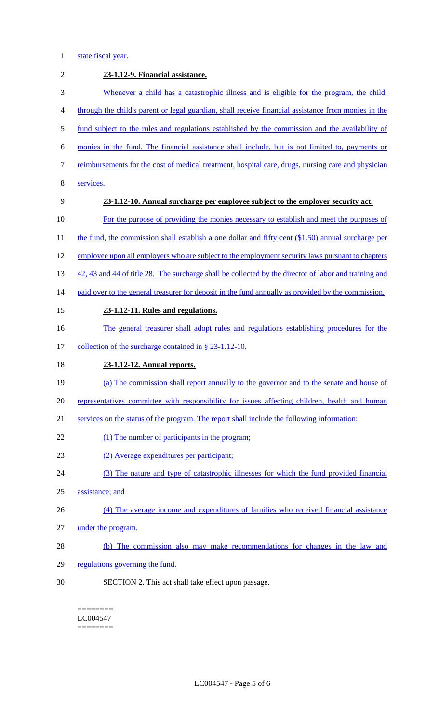# 1 state fiscal year.

| $\overline{2}$ | 23-1.12-9. Financial assistance.                                                                      |
|----------------|-------------------------------------------------------------------------------------------------------|
| 3              | Whenever a child has a catastrophic illness and is eligible for the program, the child,               |
| 4              | through the child's parent or legal guardian, shall receive financial assistance from monies in the   |
| 5              | fund subject to the rules and regulations established by the commission and the availability of       |
| 6              | monies in the fund. The financial assistance shall include, but is not limited to, payments or        |
| 7              | reimbursements for the cost of medical treatment, hospital care, drugs, nursing care and physician    |
| 8              | services.                                                                                             |
| 9              | 23-1.12-10. Annual surcharge per employee subject to the employer security act.                       |
| 10             | For the purpose of providing the monies necessary to establish and meet the purposes of               |
| 11             | the fund, the commission shall establish a one dollar and fifty cent $(\$1.50)$ annual surcharge per  |
| 12             | employee upon all employers who are subject to the employment security laws pursuant to chapters      |
| 13             | 42, 43 and 44 of title 28. The surcharge shall be collected by the director of labor and training and |
| 14             | paid over to the general treasurer for deposit in the fund annually as provided by the commission.    |
| 15             | 23-1.12-11. Rules and regulations.                                                                    |
| 16             | The general treasurer shall adopt rules and regulations establishing procedures for the               |
| 17             | collection of the surcharge contained in $\S$ 23-1.12-10.                                             |
| 18             | 23-1.12-12. Annual reports.                                                                           |
| 19             | (a) The commission shall report annually to the governor and to the senate and house of               |
| 20             | representatives committee with responsibility for issues affecting children, health and human         |
| 21             | services on the status of the program. The report shall include the following information:            |
| 22             | (1) The number of participants in the program;                                                        |
| 23             | (2) Average expenditures per participant;                                                             |
| 24             | (3) The nature and type of catastrophic illnesses for which the fund provided financial               |
| 25             | assistance; and                                                                                       |
| 26             | (4) The average income and expenditures of families who received financial assistance                 |
| 27             | under the program.                                                                                    |
| 28             | (b) The commission also may make recommendations for changes in the law and                           |
| 29             | regulations governing the fund.                                                                       |
| 30             | SECTION 2. This act shall take effect upon passage.                                                   |
|                |                                                                                                       |

#### ======== LC004547  $=$